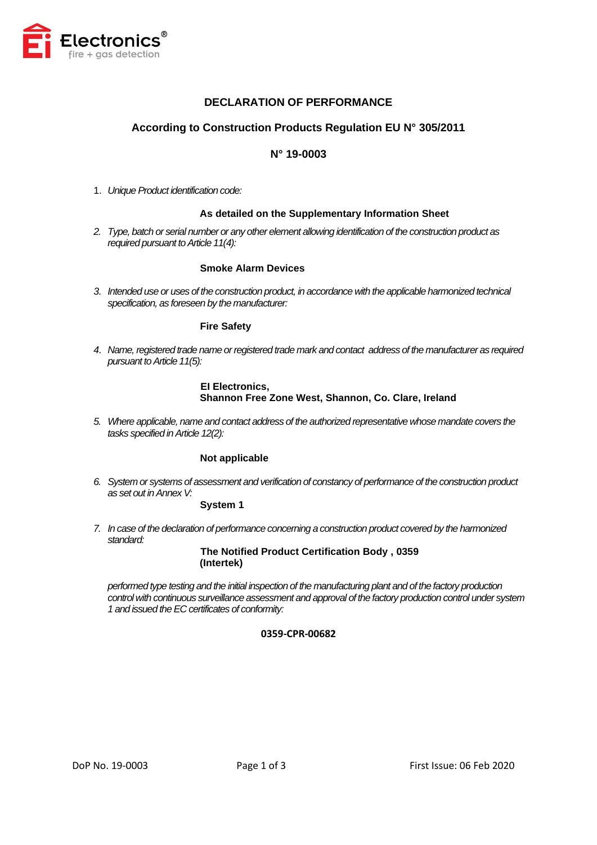

# **DECLARATION OF PERFORMANCE**

# **According to Construction Products Regulation EU N° 305/2011**

# **N° 19-0003**

1. *Unique Product identification code:* 

### **As detailed on the Supplementary Information Sheet**

*2. Type, batch or serial number or any other element allowing identification of the construction product as required pursuant to Article 11(4):*

### **Smoke Alarm Devices**

*3. Intended use or uses of the construction product, in accordance with the applicable harmonized technical specification, as foreseen by the manufacturer:*

### **Fire Safety**

*4. Name, registered trade name or registered trade mark and contact address of the manufacturer as required pursuant to Article 11(5):*

### **EI Electronics, Shannon Free Zone West, Shannon, Co. Clare, Ireland**

*5. Where applicable, name and contact address of the authorized representative whose mandate covers the tasks specified in Article 12(2):*

## **Not applicable**

*6. System or systems of assessment and verification of constancy of performance of the construction product as set out in Annex V:*

### **System 1**

*7. In case of the declaration of performance concerning a construction product covered by the harmonized standard:*

> **The Notified Product Certification Body , 0359 (Intertek)**

*performed type testing and the initial inspection of the manufacturing plant and of the factory production control with continuous surveillance assessment and approval of the factory production control under system 1 and issued the EC certificates of conformity:*

### **0359-CPR-00682**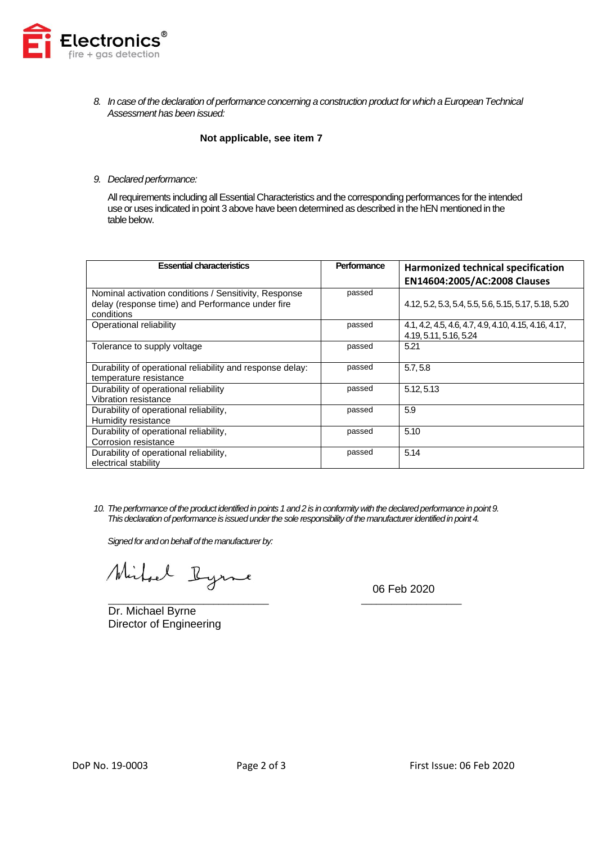

*8. In case of the declaration of performance concerning a construction product for which a European Technical Assessment has been issued:*

### **Not applicable, see item 7**

*9. Declared performance:*

All requirements including all Essential Characteristics and the corresponding performances for the intended use or uses indicated in point 3 above have been determined as described in the hEN mentioned in the table below.

| <b>Essential characteristics</b>                                                                                        | Performance | Harmonized technical specification<br>EN14604:2005/AC:2008 Clauses              |
|-------------------------------------------------------------------------------------------------------------------------|-------------|---------------------------------------------------------------------------------|
| Nominal activation conditions / Sensitivity, Response<br>delay (response time) and Performance under fire<br>conditions | passed      | 4.12, 5.2, 5.3, 5.4, 5.5, 5.6, 5.15, 5.17, 5.18, 5.20                           |
| Operational reliability                                                                                                 | passed      | 4.1, 4.2, 4.5, 4.6, 4.7, 4.9, 4.10, 4.15, 4.16, 4.17,<br>4.19, 5.11, 5.16, 5.24 |
| Tolerance to supply voltage                                                                                             | passed      | 5.21                                                                            |
| Durability of operational reliability and response delay:<br>temperature resistance                                     | passed      | 5.7, 5.8                                                                        |
| Durability of operational reliability<br>Vibration resistance                                                           | passed      | 5.12, 5.13                                                                      |
| Durability of operational reliability,<br>Humidity resistance                                                           | passed      | 5.9                                                                             |
| Durability of operational reliability,<br>Corrosion resistance                                                          | passed      | 5.10                                                                            |
| Durability of operational reliability,<br>electrical stability                                                          | passed      | 5.14                                                                            |

*10. The performance of the product identified in points 1 and 2 is in conformity with the declared performance in point 9. This declaration of performance is issued under the sole responsibility of the manufacturer identified in point 4.*

*Signed for and on behalf of the manufacturer by:*

Mirhael Ryme

\_\_\_\_\_\_\_\_\_\_\_\_\_\_\_\_\_\_\_\_\_\_\_\_\_\_\_\_\_\_\_\_ \_\_\_\_\_\_\_\_\_\_\_\_\_\_\_\_\_\_\_\_ Dr. Michael Byrne Director of Engineering

06 Feb 2020